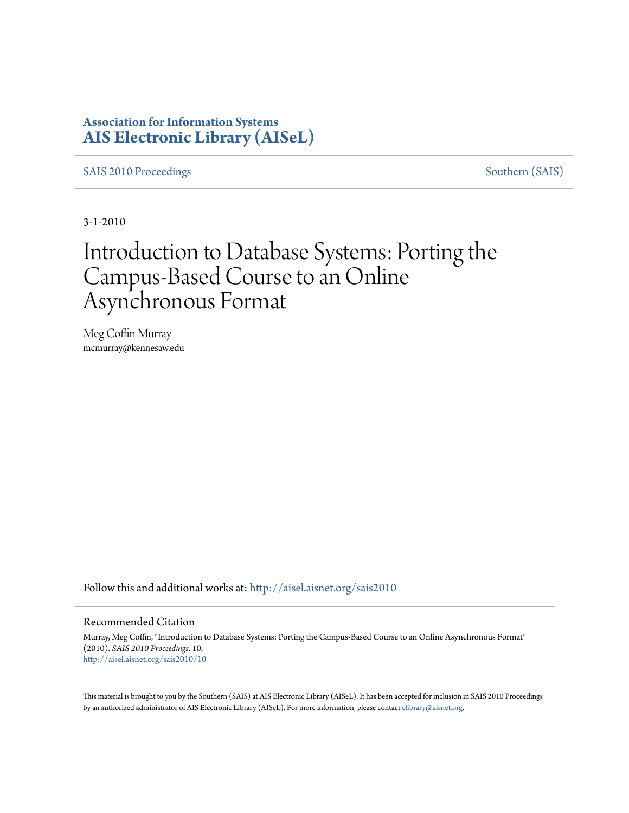## **Association for Information Systems [AIS Electronic Library \(AISeL\)](http://aisel.aisnet.org?utm_source=aisel.aisnet.org%2Fsais2010%2F10&utm_medium=PDF&utm_campaign=PDFCoverPages)**

[SAIS 2010 Proceedings](http://aisel.aisnet.org/sais2010?utm_source=aisel.aisnet.org%2Fsais2010%2F10&utm_medium=PDF&utm_campaign=PDFCoverPages) [Southern \(SAIS\)](http://aisel.aisnet.org/sais?utm_source=aisel.aisnet.org%2Fsais2010%2F10&utm_medium=PDF&utm_campaign=PDFCoverPages)

3-1-2010

# Introduction to Database Systems: Porting the Campus-Based Course to an Online Asynchronous Format

Meg Coffin Murray mcmurray@kennesaw.edu

Follow this and additional works at: [http://aisel.aisnet.org/sais2010](http://aisel.aisnet.org/sais2010?utm_source=aisel.aisnet.org%2Fsais2010%2F10&utm_medium=PDF&utm_campaign=PDFCoverPages)

#### Recommended Citation

Murray, Meg Coffin, "Introduction to Database Systems: Porting the Campus-Based Course to an Online Asynchronous Format" (2010). *SAIS 2010 Proceedings*. 10. [http://aisel.aisnet.org/sais2010/10](http://aisel.aisnet.org/sais2010/10?utm_source=aisel.aisnet.org%2Fsais2010%2F10&utm_medium=PDF&utm_campaign=PDFCoverPages)

This material is brought to you by the Southern (SAIS) at AIS Electronic Library (AISeL). It has been accepted for inclusion in SAIS 2010 Proceedings by an authorized administrator of AIS Electronic Library (AISeL). For more information, please contact [elibrary@aisnet.org](mailto:elibrary@aisnet.org%3E).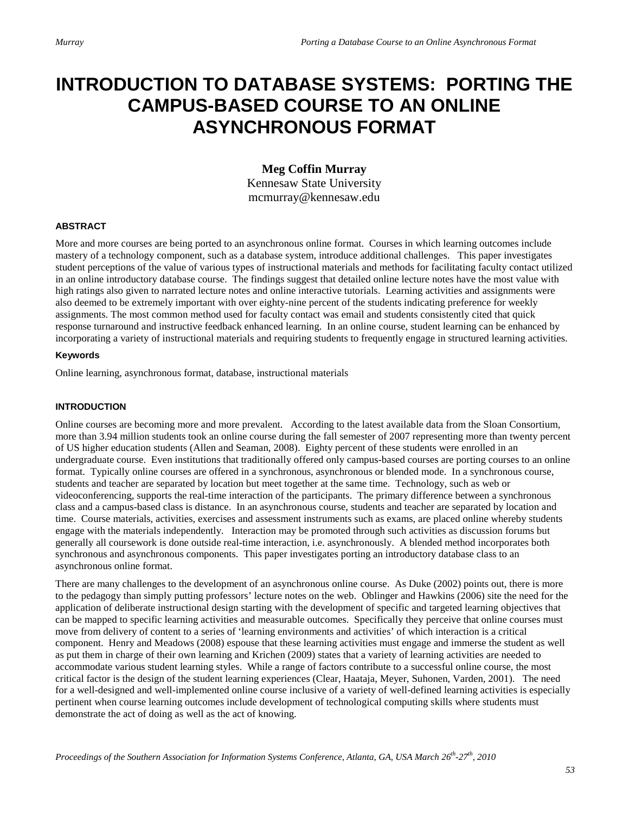## **INTRODUCTION TO DATABASE SYSTEMS: PORTING THE CAMPUS-BASED COURSE TO AN ONLINE ASYNCHRONOUS FORMAT**

### **Meg Coffin Murray**

Kennesaw State University mcmurray@kennesaw.edu

#### **ABSTRACT**

More and more courses are being ported to an asynchronous online format. Courses in which learning outcomes include mastery of a technology component, such as a database system, introduce additional challenges. This paper investigates student perceptions of the value of various types of instructional materials and methods for facilitating faculty contact utilized in an online introductory database course. The findings suggest that detailed online lecture notes have the most value with high ratings also given to narrated lecture notes and online interactive tutorials. Learning activities and assignments were also deemed to be extremely important with over eighty-nine percent of the students indicating preference for weekly assignments. The most common method used for faculty contact was email and students consistently cited that quick response turnaround and instructive feedback enhanced learning. In an online course, student learning can be enhanced by incorporating a variety of instructional materials and requiring students to frequently engage in structured learning activities.

#### **Keywords**

Online learning, asynchronous format, database, instructional materials

#### **INTRODUCTION**

Online courses are becoming more and more prevalent. According to the latest available data from the Sloan Consortium, more than 3.94 million students took an online course during the fall semester of 2007 representing more than twenty percent of US higher education students (Allen and Seaman, 2008). Eighty percent of these students were enrolled in an undergraduate course. Even institutions that traditionally offered only campus-based courses are porting courses to an online format. Typically online courses are offered in a synchronous, asynchronous or blended mode. In a synchronous course, students and teacher are separated by location but meet together at the same time. Technology, such as web or videoconferencing, supports the real-time interaction of the participants. The primary difference between a synchronous class and a campus-based class is distance. In an asynchronous course, students and teacher are separated by location and time. Course materials, activities, exercises and assessment instruments such as exams, are placed online whereby students engage with the materials independently. Interaction may be promoted through such activities as discussion forums but generally all coursework is done outside real-time interaction, i.e. asynchronously. A blended method incorporates both synchronous and asynchronous components. This paper investigates porting an introductory database class to an asynchronous online format.

There are many challenges to the development of an asynchronous online course. As Duke (2002) points out, there is more to the pedagogy than simply putting professors' lecture notes on the web. Oblinger and Hawkins (2006) site the need for the application of deliberate instructional design starting with the development of specific and targeted learning objectives that can be mapped to specific learning activities and measurable outcomes. Specifically they perceive that online courses must move from delivery of content to a series of 'learning environments and activities' of which interaction is a critical component. Henry and Meadows (2008) espouse that these learning activities must engage and immerse the student as well as put them in charge of their own learning and Krichen (2009) states that a variety of learning activities are needed to accommodate various student learning styles. While a range of factors contribute to a successful online course, the most critical factor is the design of the student learning experiences (Clear, Haataja, Meyer, Suhonen, Varden, 2001). The need for a well-designed and well-implemented online course inclusive of a variety of well-defined learning activities is especially pertinent when course learning outcomes include development of technological computing skills where students must demonstrate the act of doing as well as the act of knowing.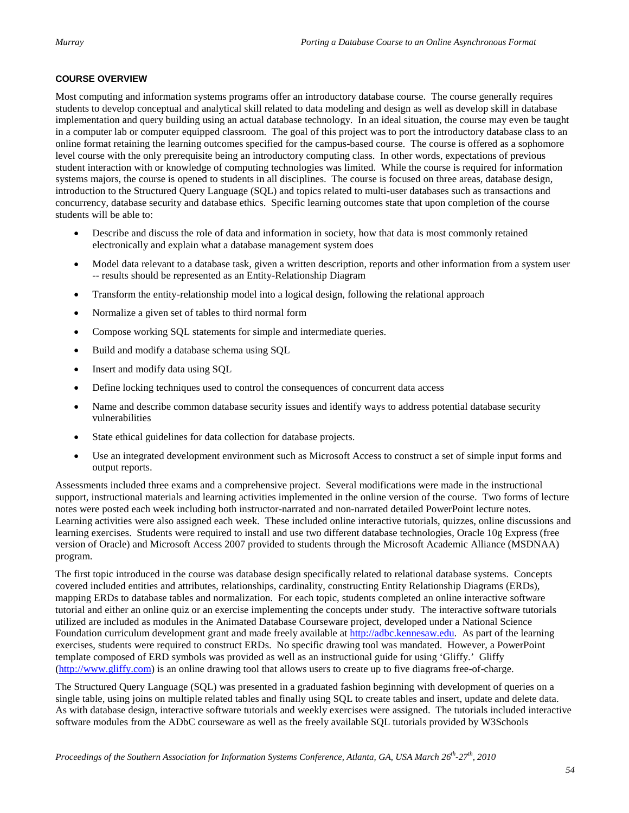#### **COURSE OVERVIEW**

Most computing and information systems programs offer an introductory database course. The course generally requires students to develop conceptual and analytical skill related to data modeling and design as well as develop skill in database implementation and query building using an actual database technology. In an ideal situation, the course may even be taught in a computer lab or computer equipped classroom. The goal of this project was to port the introductory database class to an online format retaining the learning outcomes specified for the campus-based course. The course is offered as a sophomore level course with the only prerequisite being an introductory computing class. In other words, expectations of previous student interaction with or knowledge of computing technologies was limited. While the course is required for information systems majors, the course is opened to students in all disciplines. The course is focused on three areas, database design, introduction to the Structured Query Language (SQL) and topics related to multi-user databases such as transactions and concurrency, database security and database ethics. Specific learning outcomes state that upon completion of the course students will be able to:

- Describe and discuss the role of data and information in society, how that data is most commonly retained electronically and explain what a database management system does
- Model data relevant to a database task, given a written description, reports and other information from a system user -- results should be represented as an Entity-Relationship Diagram
- Transform the entity-relationship model into a logical design, following the relational approach
- Normalize a given set of tables to third normal form
- Compose working SQL statements for simple and intermediate queries.
- Build and modify a database schema using SQL
- Insert and modify data using SQL
- Define locking techniques used to control the consequences of concurrent data access
- Name and describe common database security issues and identify ways to address potential database security vulnerabilities
- State ethical guidelines for data collection for database projects.
- Use an integrated development environment such as Microsoft Access to construct a set of simple input forms and output reports.

Assessments included three exams and a comprehensive project. Several modifications were made in the instructional support, instructional materials and learning activities implemented in the online version of the course. Two forms of lecture notes were posted each week including both instructor-narrated and non-narrated detailed PowerPoint lecture notes. Learning activities were also assigned each week. These included online interactive tutorials, quizzes, online discussions and learning exercises. Students were required to install and use two different database technologies, Oracle 10g Express (free version of Oracle) and Microsoft Access 2007 provided to students through the Microsoft Academic Alliance (MSDNAA) program.

The first topic introduced in the course was database design specifically related to relational database systems. Concepts covered included entities and attributes, relationships, cardinality, constructing Entity Relationship Diagrams (ERDs), mapping ERDs to database tables and normalization. For each topic, students completed an online interactive software tutorial and either an online quiz or an exercise implementing the concepts under study. The interactive software tutorials utilized are included as modules in the Animated Database Courseware project, developed under a National Science Foundation curriculum development grant and made freely available at [http://adbc.kennesaw.edu.](http://adbc.kennesaw.edu/) As part of the learning exercises, students were required to construct ERDs. No specific drawing tool was mandated. However, a PowerPoint template composed of ERD symbols was provided as well as an instructional guide for using 'Gliffy.' Gliffy [\(http://www.gliffy.com\)](http://www.gliffy.com/) is an online drawing tool that allows users to create up to five diagrams free-of-charge.

The Structured Query Language (SQL) was presented in a graduated fashion beginning with development of queries on a single table, using joins on multiple related tables and finally using SQL to create tables and insert, update and delete data. As with database design, interactive software tutorials and weekly exercises were assigned. The tutorials included interactive software modules from the ADbC courseware as well as the freely available SQL tutorials provided by W3Schools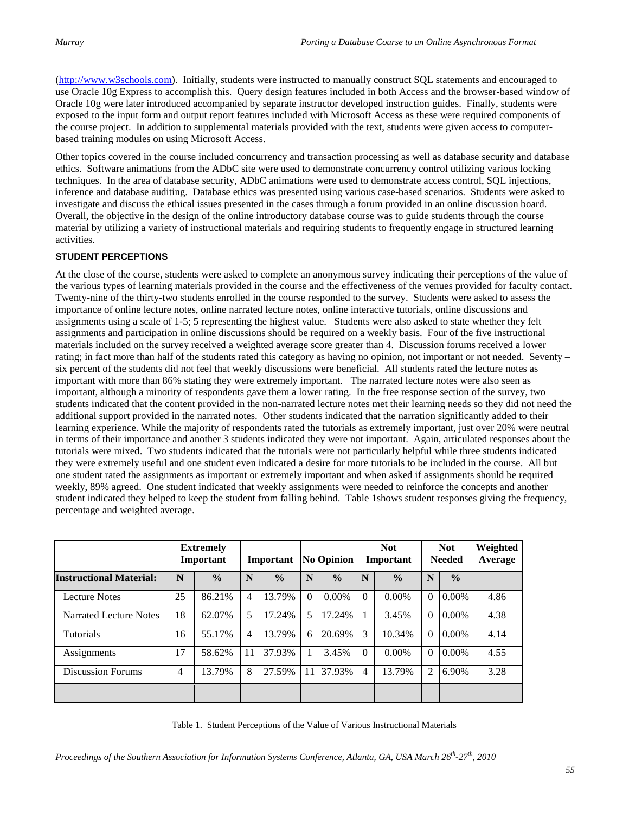[\(http://www.w3schools.com\)](http://www.w3schools.com/). Initially, students were instructed to manually construct SQL statements and encouraged to use Oracle 10g Express to accomplish this. Query design features included in both Access and the browser-based window of Oracle 10g were later introduced accompanied by separate instructor developed instruction guides. Finally, students were exposed to the input form and output report features included with Microsoft Access as these were required components of the course project. In addition to supplemental materials provided with the text, students were given access to computerbased training modules on using Microsoft Access.

Other topics covered in the course included concurrency and transaction processing as well as database security and database ethics. Software animations from the ADbC site were used to demonstrate concurrency control utilizing various locking techniques. In the area of database security, ADbC animations were used to demonstrate access control, SQL injections, inference and database auditing. Database ethics was presented using various case-based scenarios. Students were asked to investigate and discuss the ethical issues presented in the cases through a forum provided in an online discussion board. Overall, the objective in the design of the online introductory database course was to guide students through the course material by utilizing a variety of instructional materials and requiring students to frequently engage in structured learning activities.

#### **STUDENT PERCEPTIONS**

At the close of the course, students were asked to complete an anonymous survey indicating their perceptions of the value of the various types of learning materials provided in the course and the effectiveness of the venues provided for faculty contact. Twenty-nine of the thirty-two students enrolled in the course responded to the survey. Students were asked to assess the importance of online lecture notes, online narrated lecture notes, online interactive tutorials, online discussions and assignments using a scale of 1-5; 5 representing the highest value. Students were also asked to state whether they felt assignments and participation in online discussions should be required on a weekly basis. Four of the five instructional materials included on the survey received a weighted average score greater than 4. Discussion forums received a lower rating; in fact more than half of the students rated this category as having no opinion, not important or not needed. Seventy – six percent of the students did not feel that weekly discussions were beneficial. All students rated the lecture notes as important with more than 86% stating they were extremely important. The narrated lecture notes were also seen as important, although a minority of respondents gave them a lower rating. In the free response section of the survey, two students indicated that the content provided in the non-narrated lecture notes met their learning needs so they did not need the additional support provided in the narrated notes. Other students indicated that the narration significantly added to their learning experience. While the majority of respondents rated the tutorials as extremely important, just over 20% were neutral in terms of their importance and another 3 students indicated they were not important. Again, articulated responses about the tutorials were mixed. Two students indicated that the tutorials were not particularly helpful while three students indicated they were extremely useful and one student even indicated a desire for more tutorials to be included in the course. All but one student rated the assignments as important or extremely important and when asked if assignments should be required weekly, 89% agreed. One student indicated that weekly assignments were needed to reinforce the concepts and another student indicated they helped to keep the student from falling behind. Table 1shows student responses giving the frequency, percentage and weighted average.

|                                | <b>Extremely</b><br>Important |               | Important |               | <b>No Opinion</b> |               | <b>Not</b><br>Important |               | <b>Not</b><br><b>Needed</b> |               | Weighted<br>Average |
|--------------------------------|-------------------------------|---------------|-----------|---------------|-------------------|---------------|-------------------------|---------------|-----------------------------|---------------|---------------------|
| <b>Instructional Material:</b> | N                             | $\frac{0}{0}$ | N         | $\frac{0}{0}$ | N                 | $\frac{0}{0}$ | N                       | $\frac{0}{0}$ | N                           | $\frac{0}{0}$ |                     |
| <b>Lecture Notes</b>           | 25                            | 86.21%        | 4         | 13.79%        |                   | $0.00\%$      | $\Omega$                | $0.00\%$      | 0                           | 0.00%         | 4.86                |
| <b>Narrated Lecture Notes</b>  | 18                            | 62.07%        | 5         | 17.24%        | 5                 | 17.24%        |                         | 3.45%         | $\theta$                    | 0.00%         | 4.38                |
| Tutorials                      | 16                            | 55.17%        | 4         | 13.79%        | 6                 | 20.69%        | 3                       | 10.34%        | 0                           | $0.00\%$      | 4.14                |
| Assignments                    | 17                            | 58.62%        | 11        | 37.93%        |                   | 3.45%         | $\Omega$                | $0.00\%$      | 0                           | $0.00\%$      | 4.55                |
| <b>Discussion Forums</b>       | 4                             | 13.79%        | 8         | 27.59%        | 11                | 37.93%        | 4                       | 13.79%        | 2                           | 6.90%         | 3.28                |
|                                |                               |               |           |               |                   |               |                         |               |                             |               |                     |

Table 1. Student Perceptions of the Value of Various Instructional Materials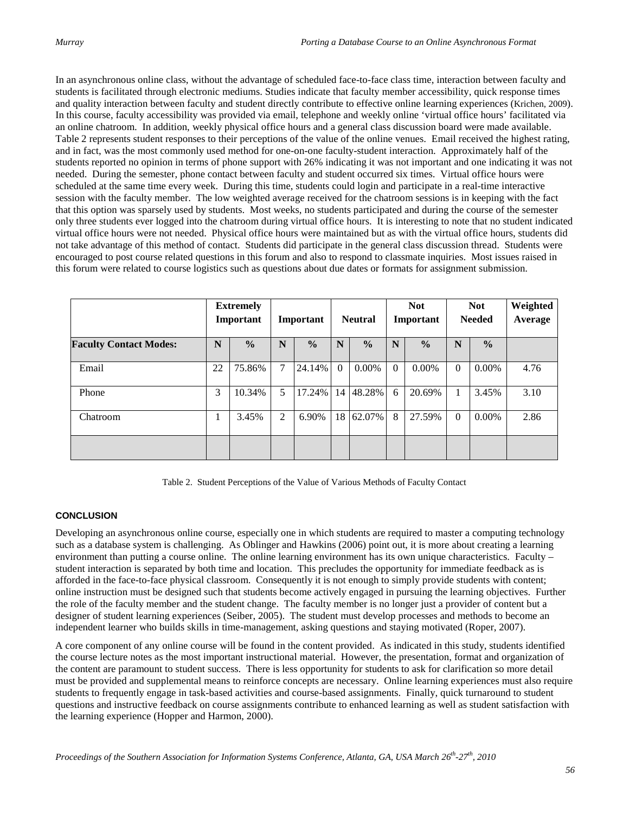In an asynchronous online class, without the advantage of scheduled face-to-face class time, interaction between faculty and students is facilitated through electronic mediums. Studies indicate that faculty member accessibility, quick response times and quality interaction between faculty and student directly contribute to effective online learning experiences (Krichen, 2009). In this course, faculty accessibility was provided via email, telephone and weekly online 'virtual office hours' facilitated via an online chatroom. In addition, weekly physical office hours and a general class discussion board were made available. Table 2 represents student responses to their perceptions of the value of the online venues. Email received the highest rating, and in fact, was the most commonly used method for one-on-one faculty-student interaction. Approximately half of the students reported no opinion in terms of phone support with 26% indicating it was not important and one indicating it was not needed. During the semester, phone contact between faculty and student occurred six times. Virtual office hours were scheduled at the same time every week. During this time, students could login and participate in a real-time interactive session with the faculty member. The low weighted average received for the chatroom sessions is in keeping with the fact that this option was sparsely used by students. Most weeks, no students participated and during the course of the semester only three students ever logged into the chatroom during virtual office hours. It is interesting to note that no student indicated virtual office hours were not needed. Physical office hours were maintained but as with the virtual office hours, students did not take advantage of this method of contact. Students did participate in the general class discussion thread. Students were encouraged to post course related questions in this forum and also to respond to classmate inquiries. Most issues raised in this forum were related to course logistics such as questions about due dates or formats for assignment submission.

|                               | <b>Extremely</b><br>Important |               | Important      |               | <b>Neutral</b> |               | <b>Not</b><br>Important |               | <b>Not</b><br><b>Needed</b> |               | Weighted<br>Average |
|-------------------------------|-------------------------------|---------------|----------------|---------------|----------------|---------------|-------------------------|---------------|-----------------------------|---------------|---------------------|
| <b>Faculty Contact Modes:</b> | N                             | $\frac{0}{0}$ | N              | $\frac{0}{0}$ | N              | $\frac{0}{0}$ | N                       | $\frac{0}{0}$ | $\mathbb N$                 | $\frac{0}{0}$ |                     |
| Email                         | 22                            | 75.86%        | $\overline{7}$ | 24.14%        | $\Omega$       | 0.00%         | $\theta$                | 0.00%         | $\Omega$                    | 0.00%         | 4.76                |
| Phone                         | 3                             | 10.34%        | 5              | 17.24%        | 14             | 48.28%        | 6                       | 20.69%        |                             | 3.45%         | 3.10                |
| Chatroom                      |                               | 3.45%         | 2              | 6.90%         | 18             | 62.07%        | 8                       | 27.59%        | $\Omega$                    | $0.00\%$      | 2.86                |
|                               |                               |               |                |               |                |               |                         |               |                             |               |                     |

Table 2. Student Perceptions of the Value of Various Methods of Faculty Contact

#### **CONCLUSION**

Developing an asynchronous online course, especially one in which students are required to master a computing technology such as a database system is challenging. As Oblinger and Hawkins (2006) point out, it is more about creating a learning environment than putting a course online. The online learning environment has its own unique characteristics. Faculty – student interaction is separated by both time and location. This precludes the opportunity for immediate feedback as is afforded in the face-to-face physical classroom. Consequently it is not enough to simply provide students with content; online instruction must be designed such that students become actively engaged in pursuing the learning objectives. Further the role of the faculty member and the student change. The faculty member is no longer just a provider of content but a designer of student learning experiences (Seiber, 2005). The student must develop processes and methods to become an independent learner who builds skills in time-management, asking questions and staying motivated (Roper, 2007).

A core component of any online course will be found in the content provided. As indicated in this study, students identified the course lecture notes as the most important instructional material. However, the presentation, format and organization of the content are paramount to student success. There is less opportunity for students to ask for clarification so more detail must be provided and supplemental means to reinforce concepts are necessary. Online learning experiences must also require students to frequently engage in task-based activities and course-based assignments. Finally, quick turnaround to student questions and instructive feedback on course assignments contribute to enhanced learning as well as student satisfaction with the learning experience (Hopper and Harmon, 2000).